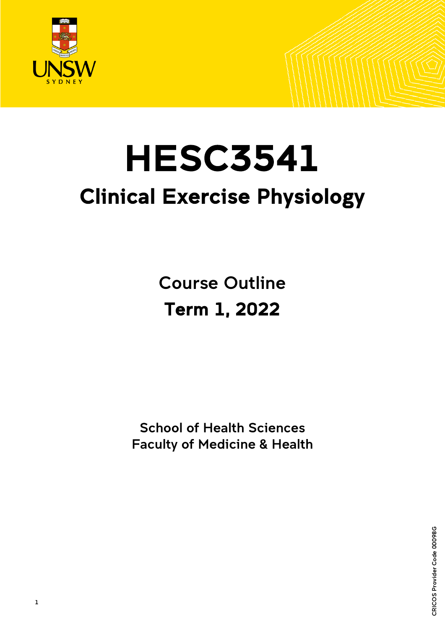

Ξ

# HESC3541 Clinical Exercise Physiology

Course Outline Term 1, 2022

 School of Health Sciences Faculty of Medicine & Health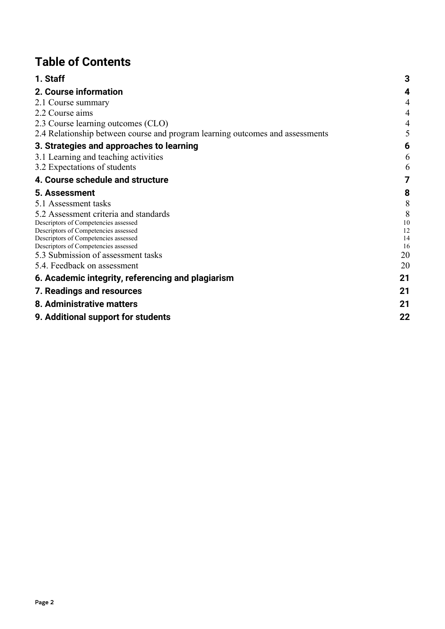# **Table of Contents**

| 1. Staff                                                                      | 3        |
|-------------------------------------------------------------------------------|----------|
| 2. Course information                                                         | 4        |
| 2.1 Course summary                                                            | 4        |
| 2.2 Course aims                                                               | 4        |
| 2.3 Course learning outcomes (CLO)                                            | 4        |
| 2.4 Relationship between course and program learning outcomes and assessments | 5        |
| 3. Strategies and approaches to learning                                      | 6        |
| 3.1 Learning and teaching activities                                          | 6        |
| 3.2 Expectations of students                                                  | 6        |
| 4. Course schedule and structure                                              | 7        |
| 5. Assessment                                                                 | 8        |
| 5.1 Assessment tasks                                                          | 8        |
| 5.2 Assessment criteria and standards                                         | 8        |
| Descriptors of Competencies assessed                                          | 10       |
| Descriptors of Competencies assessed<br>Descriptors of Competencies assessed  | 12<br>14 |
| Descriptors of Competencies assessed                                          | 16       |
| 5.3 Submission of assessment tasks                                            | 20       |
| 5.4. Feedback on assessment                                                   | 20       |
| 6. Academic integrity, referencing and plagiarism                             | 21       |
| 7. Readings and resources                                                     | 21       |
| 8. Administrative matters                                                     | 21       |
| 9. Additional support for students                                            | 22       |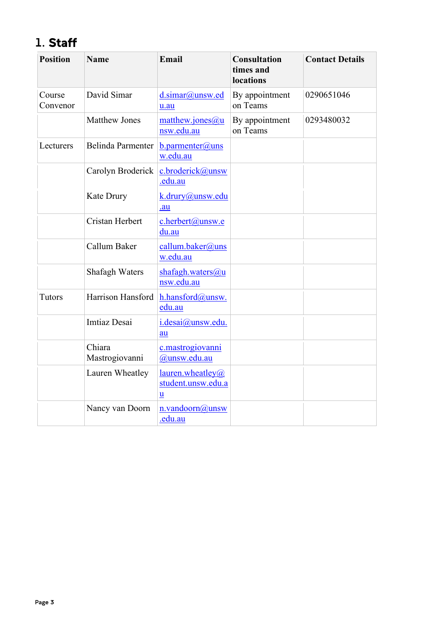# <span id="page-2-0"></span>1. Staff

| <b>Position</b>    | <b>Name</b>              | Email                                       | <b>Consultation</b><br>times and<br>locations | <b>Contact Details</b> |
|--------------------|--------------------------|---------------------------------------------|-----------------------------------------------|------------------------|
| Course<br>Convenor | David Simar              | d.simar@unsw.ed<br>u.au                     | By appointment<br>on Teams                    | 0290651046             |
|                    | <b>Matthew Jones</b>     | matthew.jones@u<br>nsw.edu.au               | By appointment<br>on Teams                    | 0293480032             |
| Lecturers          | Belinda Parmenter        | $b$ .parmenter@uns<br>w.edu.au              |                                               |                        |
|                    | Carolyn Broderick        | c.broderick@unsw<br>.edu.au                 |                                               |                        |
|                    | Kate Drury               | k.drury@unsw.edu<br>.au                     |                                               |                        |
|                    | <b>Cristan Herbert</b>   | c.herbert@unsw.e<br>du.au                   |                                               |                        |
|                    | Callum Baker             | callum.baker@uns<br>w.edu.au                |                                               |                        |
|                    | Shafagh Waters           | shafagh.waters@u<br>nsw.edu.au              |                                               |                        |
| <b>Tutors</b>      | Harrison Hansford        | h.hansford@unsw.<br>edu.au                  |                                               |                        |
|                    | <b>Imtiaz Desai</b>      | i.desai@unsw.edu.<br>au                     |                                               |                        |
|                    | Chiara<br>Mastrogiovanni | c.mastrogiovanni<br>@unsw.edu.au            |                                               |                        |
|                    | Lauren Wheatley          | lauren.wheatley@<br>student.unsw.edu.a<br>u |                                               |                        |
|                    | Nancy van Doorn          | n.vandoorn@unsw<br>.edu.au                  |                                               |                        |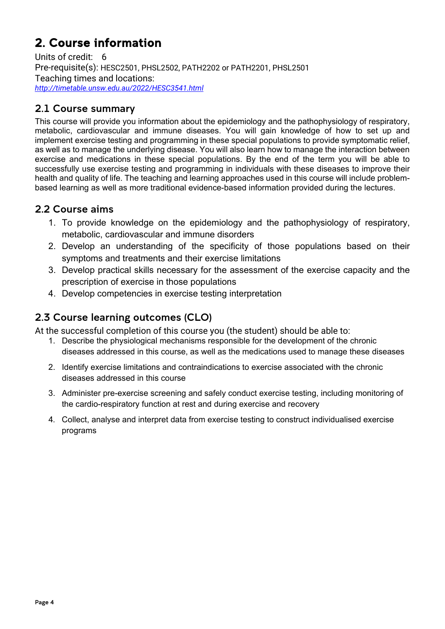# <span id="page-3-0"></span>2. Course information

Units of credit: 6 Pre-requisite(s): HESC2501, PHSL2502, PATH2202 or PATH2201, PHSL2501 Teaching times and locations: *<http://timetable.unsw.edu.au/2022/HESC3541.html>*

## <span id="page-3-1"></span>2.1 Course summary

This course will provide you information about the epidemiology and the pathophysiology of respiratory, metabolic, cardiovascular and immune diseases. You will gain knowledge of how to set up and implement exercise testing and programming in these special populations to provide symptomatic relief, as well as to manage the underlying disease. You will also learn how to manage the interaction between exercise and medications in these special populations. By the end of the term you will be able to successfully use exercise testing and programming in individuals with these diseases to improve their health and quality of life. The teaching and learning approaches used in this course will include problembased learning as well as more traditional evidence-based information provided during the lectures.

### <span id="page-3-2"></span>2.2 Course aims

- 1. To provide knowledge on the epidemiology and the pathophysiology of respiratory, metabolic, cardiovascular and immune disorders
- 2. Develop an understanding of the specificity of those populations based on their symptoms and treatments and their exercise limitations
- 3. Develop practical skills necessary for the assessment of the exercise capacity and the prescription of exercise in those populations
- 4. Develop competencies in exercise testing interpretation

## <span id="page-3-3"></span>2.3 Course learning outcomes (CLO)

At the successful completion of this course you (the student) should be able to:

- 1. Describe the physiological mechanisms responsible for the development of the chronic diseases addressed in this course, as well as the medications used to manage these diseases
- 2. Identify exercise limitations and contraindications to exercise associated with the chronic diseases addressed in this course
- 3. Administer pre-exercise screening and safely conduct exercise testing, including monitoring of the cardio-respiratory function at rest and during exercise and recovery
- 4. Collect, analyse and interpret data from exercise testing to construct individualised exercise programs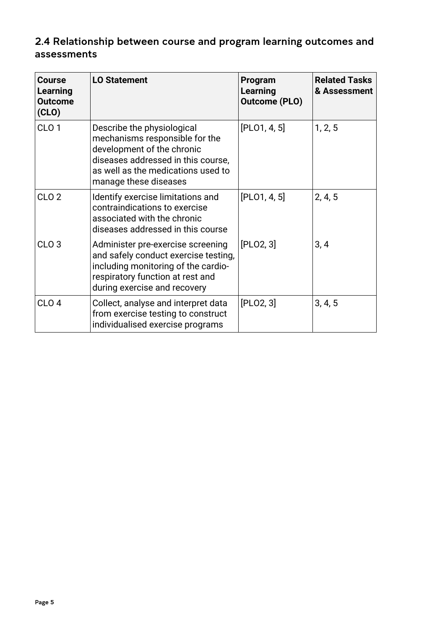## <span id="page-4-0"></span>2.4 Relationship between course and program learning outcomes and assessments

| Course<br><b>Learning</b><br><b>Outcome</b><br>(CLO) | <b>LO Statement</b>                                                                                                                                                                             | Program<br>Learning<br><b>Outcome (PLO)</b> | <b>Related Tasks</b><br>& Assessment |
|------------------------------------------------------|-------------------------------------------------------------------------------------------------------------------------------------------------------------------------------------------------|---------------------------------------------|--------------------------------------|
| CLO <sub>1</sub>                                     | Describe the physiological<br>mechanisms responsible for the<br>development of the chronic<br>diseases addressed in this course,<br>as well as the medications used to<br>manage these diseases | [PLO1, 4, 5]                                | 1, 2, 5                              |
| CLO <sub>2</sub>                                     | Identify exercise limitations and<br>contraindications to exercise<br>associated with the chronic<br>diseases addressed in this course                                                          | [PLO1, 4, 5]                                | 2, 4, 5                              |
| CLO <sub>3</sub>                                     | Administer pre-exercise screening<br>and safely conduct exercise testing,<br>including monitoring of the cardio-<br>respiratory function at rest and<br>during exercise and recovery            | [PLO2, 3]                                   | 3, 4                                 |
| CLO <sub>4</sub>                                     | Collect, analyse and interpret data<br>from exercise testing to construct<br>individualised exercise programs                                                                                   | [PLO2, 3]                                   | 3, 4, 5                              |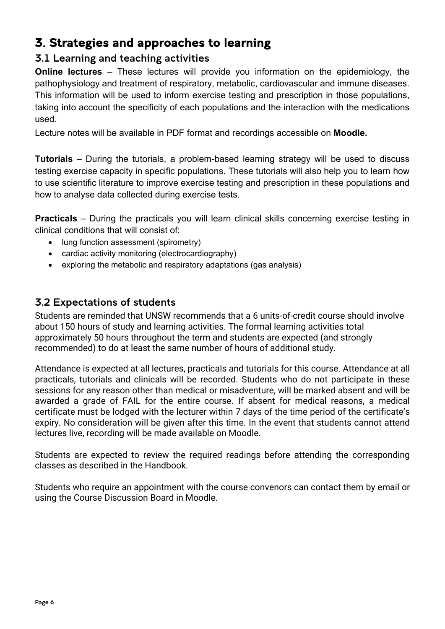# <span id="page-5-0"></span>3. Strategies and approaches to learning

## <span id="page-5-1"></span>3.1 Learning and teaching activities

**Online lectures** – These lectures will provide you information on the epidemiology, the pathophysiology and treatment of respiratory, metabolic, cardiovascular and immune diseases. This information will be used to inform exercise testing and prescription in those populations, taking into account the specificity of each populations and the interaction with the medications used.

Lecture notes will be available in PDF format and recordings accessible on **Moodle.**

**Tutorials** – During the tutorials, a problem-based learning strategy will be used to discuss testing exercise capacity in specific populations. These tutorials will also help you to learn how to use scientific literature to improve exercise testing and prescription in these populations and how to analyse data collected during exercise tests.

**Practicals** – During the practicals you will learn clinical skills concerning exercise testing in clinical conditions that will consist of:

- lung function assessment (spirometry)
- cardiac activity monitoring (electrocardiography)
- exploring the metabolic and respiratory adaptations (gas analysis)

## <span id="page-5-2"></span>3.2 Expectations of students

Students are reminded that UNSW recommends that a 6 units-of-credit course should involve about 150 hours of study and learning activities. The formal learning activities total approximately 50 hours throughout the term and students are expected (and strongly recommended) to do at least the same number of hours of additional study.

Attendance is expected at all lectures, practicals and tutorials for this course. Attendance at all practicals, tutorials and clinicals will be recorded. Students who do not participate in these sessions for any reason other than medical or misadventure, will be marked absent and will be awarded a grade of FAIL for the entire course. If absent for medical reasons, a medical certificate must be lodged with the lecturer within 7 days of the time period of the certificate's expiry. No consideration will be given after this time. In the event that students cannot attend lectures live, recording will be made available on Moodle.

Students are expected to review the required readings before attending the corresponding classes as described in the Handbook.

Students who require an appointment with the course convenors can contact them by email or using the Course Discussion Board in Moodle.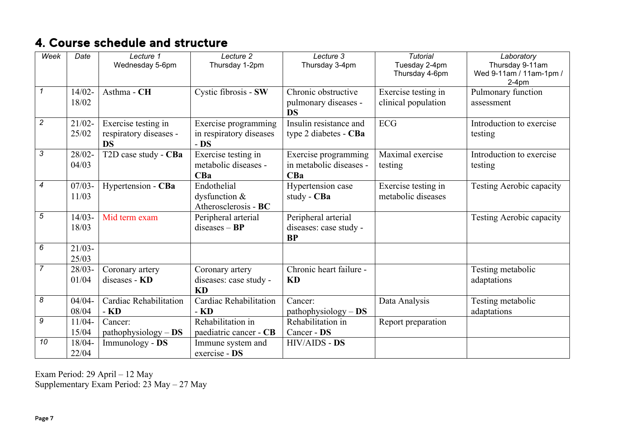# 4. Course schedule and structure

| Week                       | Date      | Lecture 1              | Lecture 2               | Lecture 3               | <b>Tutorial</b>     | Laboratory                         |
|----------------------------|-----------|------------------------|-------------------------|-------------------------|---------------------|------------------------------------|
|                            |           | Wednesday 5-6pm        | Thursday 1-2pm          | Thursday 3-4pm          | Tuesday 2-4pm       | Thursday 9-11am                    |
|                            |           |                        |                         |                         | Thursday 4-6pm      | Wed 9-11am / 11am-1pm /<br>$2-4pm$ |
| $\boldsymbol{\mathcal{L}}$ | $14/02 -$ | Asthma - CH            | Cystic fibrosis - SW    | Chronic obstructive     | Exercise testing in | Pulmonary function                 |
|                            | 18/02     |                        |                         | pulmonary diseases -    | clinical population | assessment                         |
|                            |           |                        |                         | <b>DS</b>               |                     |                                    |
| $\overline{2}$             | $21/02 -$ | Exercise testing in    | Exercise programming    | Insulin resistance and  | <b>ECG</b>          | Introduction to exercise           |
|                            | 25/02     | respiratory diseases - | in respiratory diseases | type 2 diabetes - CBa   |                     | testing                            |
|                            |           | <b>DS</b>              | $-$ DS                  |                         |                     |                                    |
| $\mathfrak{Z}$             | $28/02 -$ | T2D case study - CBa   | Exercise testing in     | Exercise programming    | Maximal exercise    | Introduction to exercise           |
|                            | 04/03     |                        | metabolic diseases -    | in metabolic diseases - | testing             | testing                            |
|                            |           |                        | CBa                     | CBa                     |                     |                                    |
| $\overline{4}$             | $07/03 -$ | Hypertension - CBa     | Endothelial             | Hypertension case       | Exercise testing in | <b>Testing Aerobic capacity</b>    |
|                            | 11/03     |                        | dysfunction &           | study - CBa             | metabolic diseases  |                                    |
|                            |           |                        | Atherosclerosis - BC    |                         |                     |                                    |
| $\sqrt{5}$                 | $14/03 -$ | Mid term exam          | Peripheral arterial     | Peripheral arterial     |                     | Testing Aerobic capacity           |
|                            | 18/03     |                        | $diseases - BP$         | diseases: case study -  |                     |                                    |
|                            |           |                        |                         | <b>BP</b>               |                     |                                    |
| 6                          | $21/03 -$ |                        |                         |                         |                     |                                    |
|                            | 25/03     |                        |                         |                         |                     |                                    |
| $\overline{7}$             | $28/03 -$ | Coronary artery        | Coronary artery         | Chronic heart failure - |                     | Testing metabolic                  |
|                            | 01/04     | diseases - KD          | diseases: case study -  | KD                      |                     | adaptations                        |
|                            |           |                        | <b>KD</b>               |                         |                     |                                    |
| 8                          | $04/04 -$ | Cardiac Rehabilitation | Cardiac Rehabilitation  | Cancer:                 | Data Analysis       | Testing metabolic                  |
|                            | 08/04     | - KD                   | - KD                    | $pathophysiology - DS$  |                     | adaptations                        |
| 9                          | $11/04 -$ | Cancer:                | Rehabilitation in       | Rehabilitation in       | Report preparation  |                                    |
|                            | 15/04     | $pathophysiology - DS$ | paediatric cancer - CB  | Cancer - DS             |                     |                                    |
| 10                         | $18/04 -$ | Immunology - DS        | Immune system and       | <b>HIV/AIDS - DS</b>    |                     |                                    |
|                            | 22/04     |                        | exercise - DS           |                         |                     |                                    |

<span id="page-6-0"></span>Exam Period: 29 April – 12 May Supplementary Exam Period: 23 May – 27 May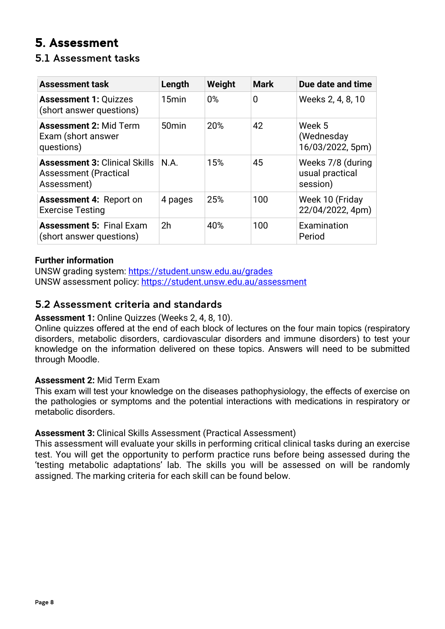# <span id="page-7-0"></span>5. Assessment

## <span id="page-7-1"></span>5.1 Assessment tasks

| <b>Assessment task</b>                                                              | Length            | Weight | <b>Mark</b> | Due date and time                                |
|-------------------------------------------------------------------------------------|-------------------|--------|-------------|--------------------------------------------------|
| <b>Assessment 1: Quizzes</b><br>(short answer questions)                            | 15 <sub>min</sub> | $0\%$  | 0           | Weeks 2, 4, 8, 10                                |
| <b>Assessment 2: Mid Term</b><br>Exam (short answer<br>questions)                   | 50 <sub>min</sub> | 20%    | 42          | Week 5<br>(Wednesday<br>16/03/2022, 5pm)         |
| <b>Assessment 3: Clinical Skills</b><br><b>Assessment (Practical</b><br>Assessment) | N.A.              | 15%    | 45          | Weeks 7/8 (during<br>usual practical<br>session) |
| <b>Assessment 4: Report on</b><br><b>Exercise Testing</b>                           | 4 pages           | 25%    | 100         | Week 10 (Friday<br>22/04/2022, 4pm)              |
| <b>Assessment 5: Final Exam</b><br>(short answer questions)                         | 2 <sub>h</sub>    | 40%    | 100         | Examination<br>Period                            |

#### **Further information**

UNSW grading system:<https://student.unsw.edu.au/grades> UNSW assessment policy:<https://student.unsw.edu.au/assessment>

### <span id="page-7-2"></span>5.2 Assessment criteria and standards

#### **Assessment 1:** Online Quizzes (Weeks 2, 4, 8, 10).

Online quizzes offered at the end of each block of lectures on the four main topics (respiratory disorders, metabolic disorders, cardiovascular disorders and immune disorders) to test your knowledge on the information delivered on these topics. Answers will need to be submitted through Moodle.

#### **Assessment 2:** Mid Term Exam

This exam will test your knowledge on the diseases pathophysiology, the effects of exercise on the pathologies or symptoms and the potential interactions with medications in respiratory or metabolic disorders.

#### **Assessment 3:** Clinical Skills Assessment (Practical Assessment)

This assessment will evaluate your skills in performing critical clinical tasks during an exercise test. You will get the opportunity to perform practice runs before being assessed during the 'testing metabolic adaptations' lab. The skills you will be assessed on will be randomly assigned. The marking criteria for each skill can be found below.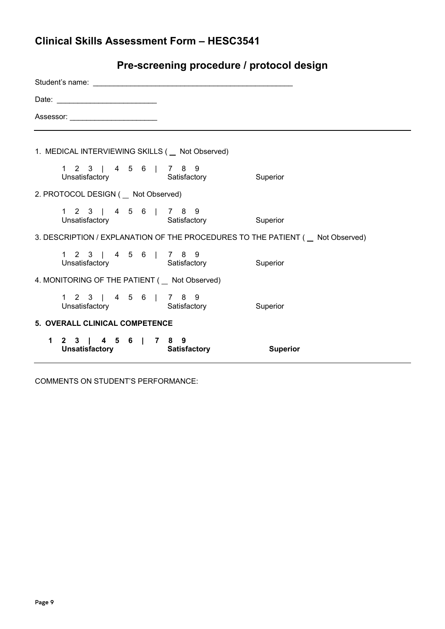| Pre-screening procedure / protocol design |  |  |  |
|-------------------------------------------|--|--|--|
|-------------------------------------------|--|--|--|

| Assessor: ___________________________                                           |  |                 |  |  |  |  |  |
|---------------------------------------------------------------------------------|--|-----------------|--|--|--|--|--|
|                                                                                 |  |                 |  |  |  |  |  |
| 1. MEDICAL INTERVIEWING SKILLS ( _ Not Observed)                                |  |                 |  |  |  |  |  |
| 1 2 3   4 5 6   7 8 9<br>Unsatisfactory Satisfactory Superior                   |  |                 |  |  |  |  |  |
| 2. PROTOCOL DESIGN ( _ Not Observed)                                            |  |                 |  |  |  |  |  |
| 1 2 3   4 5 6   7 8 9<br>Unsatisfactory Satisfactory Superior                   |  |                 |  |  |  |  |  |
| 3. DESCRIPTION / EXPLANATION OF THE PROCEDURES TO THE PATIENT ( _ Not Observed) |  |                 |  |  |  |  |  |
| 1 2 3   4 5 6   7 8 9<br>Unsatisfactory Satisfactory Superior                   |  |                 |  |  |  |  |  |
| 4. MONITORING OF THE PATIENT ( _ Not Observed)                                  |  |                 |  |  |  |  |  |
| 1 2 3   4 5 6   7 8 9<br>Unsatisfactory <b>Satisfactory</b> Satisfactory        |  | Superior        |  |  |  |  |  |
| 5. OVERALL CLINICAL COMPETENCE                                                  |  |                 |  |  |  |  |  |
| 1 2 3   4 5 6   7 8 9<br>Unsatisfactory <b>Satisfactory</b>                     |  | <b>Superior</b> |  |  |  |  |  |

COMMENTS ON STUDENT'S PERFORMANCE: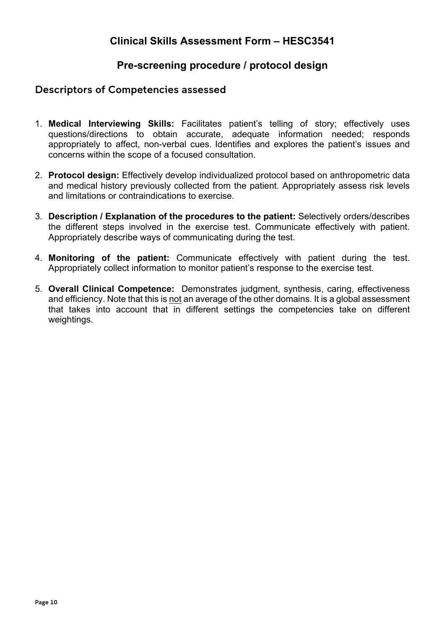### **Pre-screening procedure / protocol design**

#### <span id="page-9-0"></span>Descriptors of Competencies assessed

- 1. **Medical Interviewing Skills:** Facilitates patient's telling of story; effectively uses questions/directions to obtain accurate, adequate information needed; responds appropriately to affect, non-verbal cues. Identifies and explores the patient's issues and concerns within the scope of a focused consultation.
- 2. **Protocol design:** Effectively develop individualized protocol based on anthropometric data and medical history previously collected from the patient. Appropriately assess risk levels and limitations or contraindications to exercise.
- 3. **Description / Explanation of the procedures to the patient:** Selectively orders/describes the different steps involved in the exercise test. Communicate effectively with patient. Appropriately describe ways of communicating during the test.
- 4. **Monitoring of the patient:** Communicate effectively with patient during the test. Appropriately collect information to monitor patient's response to the exercise test.
- 5. **Overall Clinical Competence:** Demonstrates judgment, synthesis, caring, effectiveness and efficiency. Note that this is not an average of the other domains. It is a global assessment that takes into account that in different settings the competencies take on different weightings.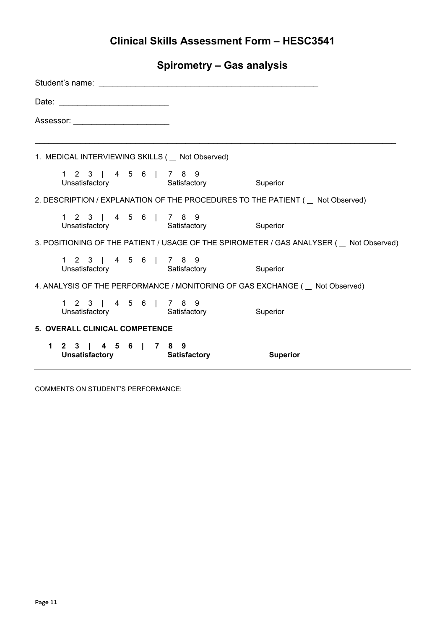**Spirometry – Gas analysis**

| Student's name: the contract of the contract of the contract of the contract of the contract of the contract of the contract of the contract of the contract of the contract of the contract of the contract of the contract o |                                                                                                                                                                                                                               |  |                                      |                                                                                               |  |  |
|--------------------------------------------------------------------------------------------------------------------------------------------------------------------------------------------------------------------------------|-------------------------------------------------------------------------------------------------------------------------------------------------------------------------------------------------------------------------------|--|--------------------------------------|-----------------------------------------------------------------------------------------------|--|--|
|                                                                                                                                                                                                                                |                                                                                                                                                                                                                               |  |                                      |                                                                                               |  |  |
|                                                                                                                                                                                                                                | Assessor: the contract of the contract of the contract of the contract of the contract of the contract of the contract of the contract of the contract of the contract of the contract of the contract of the contract of the |  |                                      |                                                                                               |  |  |
|                                                                                                                                                                                                                                | 1. MEDICAL INTERVIEWING SKILLS ( _ Not Observed)                                                                                                                                                                              |  |                                      |                                                                                               |  |  |
|                                                                                                                                                                                                                                |                                                                                                                                                                                                                               |  |                                      |                                                                                               |  |  |
| 2. DESCRIPTION / EXPLANATION OF THE PROCEDURES TO THE PATIENT ( _ Not Observed)                                                                                                                                                |                                                                                                                                                                                                                               |  |                                      |                                                                                               |  |  |
|                                                                                                                                                                                                                                | 1 2 3   4 5 6   7 8 9                                                                                                                                                                                                         |  | Unsatisfactory Satisfactory Superior |                                                                                               |  |  |
|                                                                                                                                                                                                                                |                                                                                                                                                                                                                               |  |                                      | 3. POSITIONING OF THE PATIENT / USAGE OF THE SPIROMETER / GAS ANALYSER (    Let Not Observed) |  |  |
|                                                                                                                                                                                                                                | 1 2 3   4 5 6   7 8 9                                                                                                                                                                                                         |  | Unsatisfactory Satisfactory Superior |                                                                                               |  |  |
|                                                                                                                                                                                                                                |                                                                                                                                                                                                                               |  |                                      | 4. ANALYSIS OF THE PERFORMANCE / MONITORING OF GAS EXCHANGE ( _ Not Observed)                 |  |  |
|                                                                                                                                                                                                                                | 1 2 3   4 5 6   7 8 9                                                                                                                                                                                                         |  | Unsatisfactory Satisfactory Superior |                                                                                               |  |  |
| 5. OVERALL CLINICAL COMPETENCE                                                                                                                                                                                                 |                                                                                                                                                                                                                               |  |                                      |                                                                                               |  |  |
|                                                                                                                                                                                                                                | 1 2 3   4 5 6   7 8 9                                                                                                                                                                                                         |  | Unsatisfactory Satisfactory          | <b>Superior</b>                                                                               |  |  |

COMMENTS ON STUDENT'S PERFORMANCE: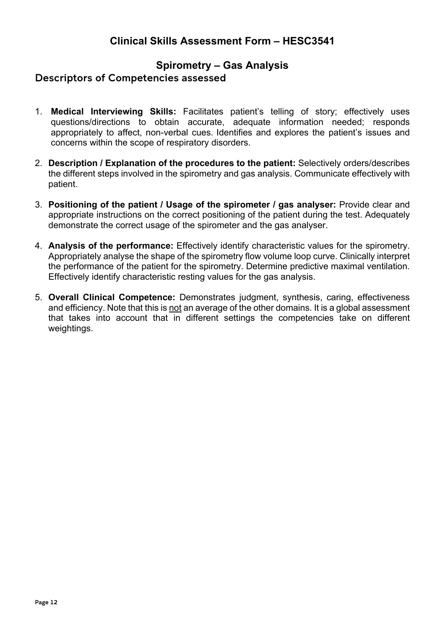## **Spirometry – Gas Analysis**

#### <span id="page-11-0"></span>Descriptors of Competencies assessed

- 1. **Medical Interviewing Skills:** Facilitates patient's telling of story; effectively uses questions/directions to obtain accurate, adequate information needed; responds appropriately to affect, non-verbal cues. Identifies and explores the patient's issues and concerns within the scope of respiratory disorders.
- 2. **Description / Explanation of the procedures to the patient:** Selectively orders/describes the different steps involved in the spirometry and gas analysis. Communicate effectively with patient.
- 3. **Positioning of the patient / Usage of the spirometer / gas analyser:** Provide clear and appropriate instructions on the correct positioning of the patient during the test. Adequately demonstrate the correct usage of the spirometer and the gas analyser.
- 4. **Analysis of the performance:** Effectively identify characteristic values for the spirometry. Appropriately analyse the shape of the spirometry flow volume loop curve. Clinically interpret the performance of the patient for the spirometry. Determine predictive maximal ventilation. Effectively identify characteristic resting values for the gas analysis.
- 5. **Overall Clinical Competence:** Demonstrates judgment, synthesis, caring, effectiveness and efficiency. Note that this is not an average of the other domains. It is a global assessment that takes into account that in different settings the competencies take on different weightings.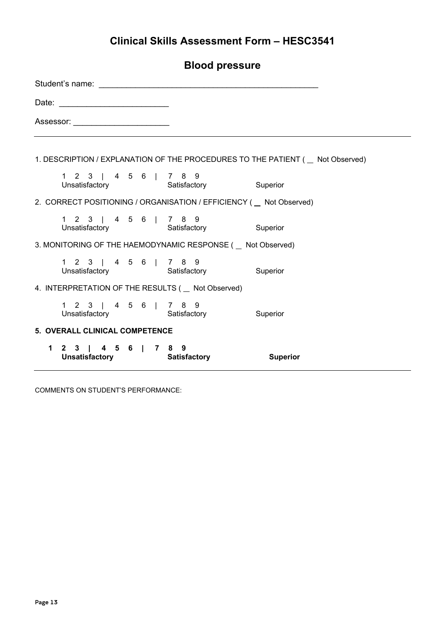| Student's name: The contract of the contract of the contract of the contract of the contract of the contract of the contract of the contract of the contract of the contract of the contract of the contract of the contract o |  |  |  |  |  |  |  |                                                                                                                                                                                                                                                          |                                                                                     |
|--------------------------------------------------------------------------------------------------------------------------------------------------------------------------------------------------------------------------------|--|--|--|--|--|--|--|----------------------------------------------------------------------------------------------------------------------------------------------------------------------------------------------------------------------------------------------------------|-------------------------------------------------------------------------------------|
|                                                                                                                                                                                                                                |  |  |  |  |  |  |  |                                                                                                                                                                                                                                                          |                                                                                     |
| Assessor: __________________________                                                                                                                                                                                           |  |  |  |  |  |  |  |                                                                                                                                                                                                                                                          |                                                                                     |
|                                                                                                                                                                                                                                |  |  |  |  |  |  |  |                                                                                                                                                                                                                                                          |                                                                                     |
|                                                                                                                                                                                                                                |  |  |  |  |  |  |  |                                                                                                                                                                                                                                                          | 1. DESCRIPTION / EXPLANATION OF THE PROCEDURES TO THE PATIENT (   Let not Observed) |
|                                                                                                                                                                                                                                |  |  |  |  |  |  |  | 1 2 3   4 5 6   7 8 9<br>Unsatisfactory Satisfactory Superior                                                                                                                                                                                            |                                                                                     |
|                                                                                                                                                                                                                                |  |  |  |  |  |  |  | 2. CORRECT POSITIONING / ORGANISATION / EFFICIENCY ( Not Observed)                                                                                                                                                                                       |                                                                                     |
|                                                                                                                                                                                                                                |  |  |  |  |  |  |  | 1 2 3   4 5 6   7 8 9<br>a a a a a b b c a b c a b c a b c a b c a b c a b c a b c a b c a b c a b c a b c a b c a b c a b c a b c a b c<br>Unsatisfactory c a b c a b c a b c a b c a b c a b c a b c a b c a b c a b c a b c a b c a b c a b c a b c a |                                                                                     |
|                                                                                                                                                                                                                                |  |  |  |  |  |  |  | 3. MONITORING OF THE HAEMODYNAMIC RESPONSE ( Not Observed)                                                                                                                                                                                               |                                                                                     |
|                                                                                                                                                                                                                                |  |  |  |  |  |  |  | 1 2 3   4 5 6   7 8 9<br>Unsatisfactory Satisfactory Superior                                                                                                                                                                                            |                                                                                     |
|                                                                                                                                                                                                                                |  |  |  |  |  |  |  | 4. INTERPRETATION OF THE RESULTS ( _ Not Observed)                                                                                                                                                                                                       |                                                                                     |
|                                                                                                                                                                                                                                |  |  |  |  |  |  |  | 1 2 3   4 5 6   7 8 9<br>Unsatisfactory Satisfactory Superior                                                                                                                                                                                            |                                                                                     |
| 5. OVERALL CLINICAL COMPETENCE                                                                                                                                                                                                 |  |  |  |  |  |  |  |                                                                                                                                                                                                                                                          |                                                                                     |
|                                                                                                                                                                                                                                |  |  |  |  |  |  |  | 1 2 3   4 5 6   7 8 9<br>Unsatisfactory Satisfactory                                                                                                                                                                                                     | Superior                                                                            |

COMMENTS ON STUDENT'S PERFORMANCE: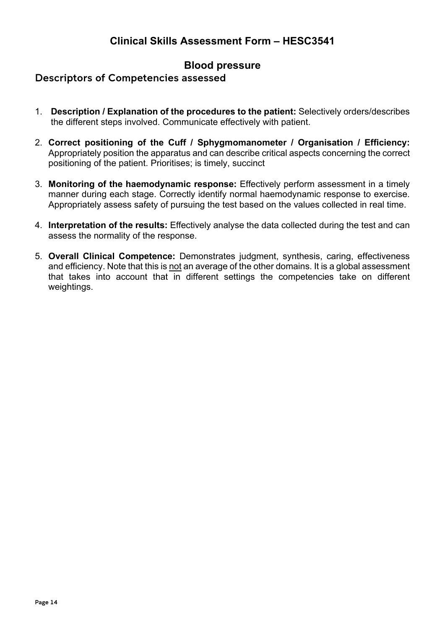## **Blood pressure**

#### <span id="page-13-0"></span>Descriptors of Competencies assessed

- 1. **Description / Explanation of the procedures to the patient:** Selectively orders/describes the different steps involved. Communicate effectively with patient.
- 2. **Correct positioning of the Cuff / Sphygmomanometer / Organisation / Efficiency:**  Appropriately position the apparatus and can describe critical aspects concerning the correct positioning of the patient. Prioritises; is timely, succinct
- 3. **Monitoring of the haemodynamic response:** Effectively perform assessment in a timely manner during each stage. Correctly identify normal haemodynamic response to exercise. Appropriately assess safety of pursuing the test based on the values collected in real time.
- 4. **Interpretation of the results:** Effectively analyse the data collected during the test and can assess the normality of the response.
- 5. **Overall Clinical Competence:** Demonstrates judgment, synthesis, caring, effectiveness and efficiency. Note that this is not an average of the other domains. It is a global assessment that takes into account that in different settings the competencies take on different weightings.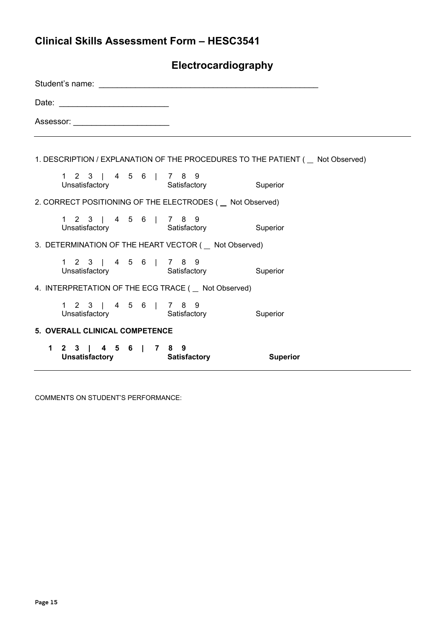| Electrocardiography                                                                 |                                                                                                                                                                                                                               |  |  |  |  |                                                            |  |
|-------------------------------------------------------------------------------------|-------------------------------------------------------------------------------------------------------------------------------------------------------------------------------------------------------------------------------|--|--|--|--|------------------------------------------------------------|--|
|                                                                                     |                                                                                                                                                                                                                               |  |  |  |  |                                                            |  |
|                                                                                     |                                                                                                                                                                                                                               |  |  |  |  |                                                            |  |
|                                                                                     | Assessor: the contract of the contract of the contract of the contract of the contract of the contract of the contract of the contract of the contract of the contract of the contract of the contract of the contract of the |  |  |  |  |                                                            |  |
| 1. DESCRIPTION / EXPLANATION OF THE PROCEDURES TO THE PATIENT (   Let not Observed) |                                                                                                                                                                                                                               |  |  |  |  |                                                            |  |
|                                                                                     | 1 2 3   4 5 6   7 8 9                                                                                                                                                                                                         |  |  |  |  | Unsatisfactory <b>Satisfactory</b> Superior                |  |
|                                                                                     |                                                                                                                                                                                                                               |  |  |  |  | 2. CORRECT POSITIONING OF THE ELECTRODES ( _ Not Observed) |  |
|                                                                                     | 1 2 3   4 5 6   7 8 9                                                                                                                                                                                                         |  |  |  |  | Unsatisfactory Satisfactory Superior                       |  |
|                                                                                     |                                                                                                                                                                                                                               |  |  |  |  | 3. DETERMINATION OF THE HEART VECTOR ( Not Observed)       |  |
|                                                                                     | 1 2 3   4 5 6   7 8 9                                                                                                                                                                                                         |  |  |  |  | Unsatisfactory Satisfactory Superior                       |  |
|                                                                                     |                                                                                                                                                                                                                               |  |  |  |  | 4. INTERPRETATION OF THE ECG TRACE ( Not Observed)         |  |
|                                                                                     | 1 2 3   4 5 6   7 8 9                                                                                                                                                                                                         |  |  |  |  | Unsatisfactory Satisfactory Superior                       |  |
| 5. OVERALL CLINICAL COMPETENCE                                                      |                                                                                                                                                                                                                               |  |  |  |  |                                                            |  |
|                                                                                     | 1 2 3   4 5 6   7 8 9                                                                                                                                                                                                         |  |  |  |  | Unsatisfactory Satisfactory Superior                       |  |

COMMENTS ON STUDENT'S PERFORMANCE: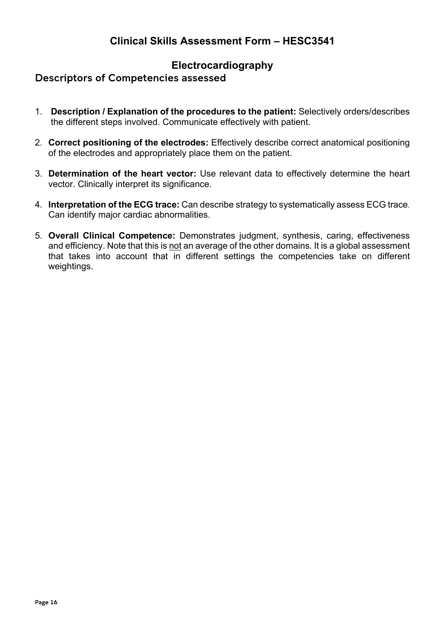## **Electrocardiography**

#### <span id="page-15-0"></span>Descriptors of Competencies assessed

- 1. **Description / Explanation of the procedures to the patient:** Selectively orders/describes the different steps involved. Communicate effectively with patient.
- 2. **Correct positioning of the electrodes:** Effectively describe correct anatomical positioning of the electrodes and appropriately place them on the patient.
- 3. **Determination of the heart vector:** Use relevant data to effectively determine the heart vector. Clinically interpret its significance.
- 4. **Interpretation of the ECG trace:** Can describe strategy to systematically assess ECG trace. Can identify major cardiac abnormalities.
- 5. **Overall Clinical Competence:** Demonstrates judgment, synthesis, caring, effectiveness and efficiency. Note that this is not an average of the other domains. It is a global assessment that takes into account that in different settings the competencies take on different weightings.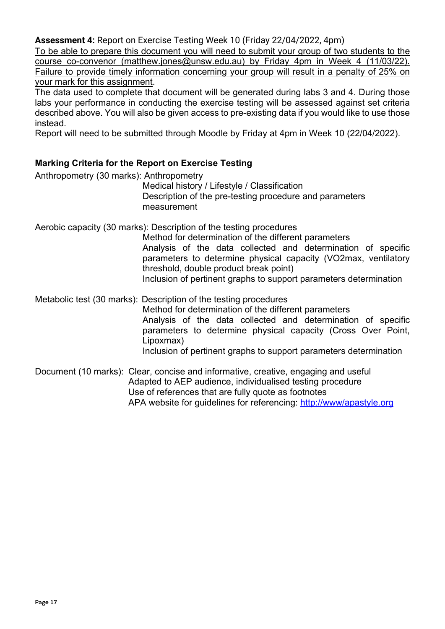**Assessment 4:** Report on Exercise Testing Week 10 (Friday 22/04/2022, 4pm)

To be able to prepare this document you will need to submit your group of two students to the course co-convenor (matthew.jones@unsw.edu.au) by Friday 4pm in Week 4 (11/03/22). Failure to provide timely information concerning your group will result in a penalty of 25% on your mark for this assignment.

The data used to complete that document will be generated during labs 3 and 4. During those labs your performance in conducting the exercise testing will be assessed against set criteria described above. You will also be given access to pre-existing data if you would like to use those instead.

Report will need to be submitted through Moodle by Friday at 4pm in Week 10 (22/04/2022).

#### **Marking Criteria for the Report on Exercise Testing**

Anthropometry (30 marks): Anthropometry

Medical history / Lifestyle / Classification Description of the pre-testing procedure and parameters measurement

Aerobic capacity (30 marks): Description of the testing procedures

Method for determination of the different parameters Analysis of the data collected and determination of specific parameters to determine physical capacity (VO2max, ventilatory threshold, double product break point) Inclusion of pertinent graphs to support parameters determination

Metabolic test (30 marks): Description of the testing procedures Method for determination of the different parameters Analysis of the data collected and determination of specific parameters to determine physical capacity (Cross Over Point, Lipoxmax) Inclusion of pertinent graphs to support parameters determination

Document (10 marks): Clear, concise and informative, creative, engaging and useful Adapted to AEP audience, individualised testing procedure Use of references that are fully quote as footnotes APA website for guidelines for referencing:<http://www/apastyle.org>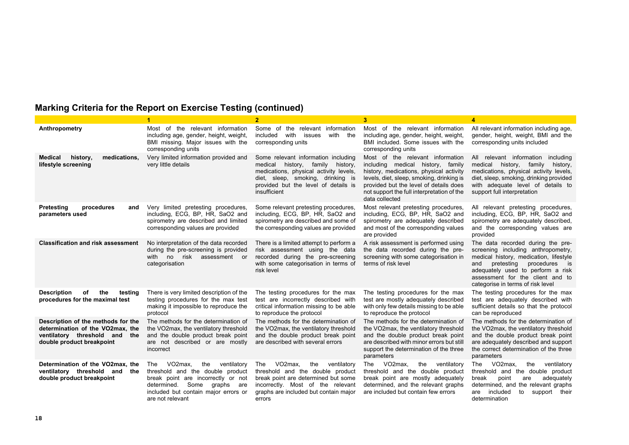|                                                                                                                                      |                                                                                                                                                                                                              |                                                                                                                                                                                                                         | 3                                                                                                                                                                                                                                                                       | 4                                                                                                                                                                                                                                                                     |
|--------------------------------------------------------------------------------------------------------------------------------------|--------------------------------------------------------------------------------------------------------------------------------------------------------------------------------------------------------------|-------------------------------------------------------------------------------------------------------------------------------------------------------------------------------------------------------------------------|-------------------------------------------------------------------------------------------------------------------------------------------------------------------------------------------------------------------------------------------------------------------------|-----------------------------------------------------------------------------------------------------------------------------------------------------------------------------------------------------------------------------------------------------------------------|
| Anthropometry                                                                                                                        | Most of the relevant information<br>including age, gender, height, weight,<br>BMI missing. Major issues with the<br>corresponding units                                                                      | Some of the relevant information<br>with the<br>included<br>with<br>issues<br>corresponding units                                                                                                                       | Most of the relevant information<br>including age, gender, height, weight,<br>BMI included. Some issues with the<br>corresponding units                                                                                                                                 | All relevant information including age,<br>gender, height, weight, BMI and the<br>corresponding units included                                                                                                                                                        |
| <b>Medical</b><br>history,<br>medications,<br>lifestyle screening                                                                    | Very limited information provided and<br>very little details                                                                                                                                                 | Some relevant information including<br>medical<br>history,<br>family<br>history,<br>medications, physical activity levels,<br>diet, sleep, smoking, drinking is<br>provided but the level of details is<br>insufficient | Most of the relevant information<br>including medical history, family<br>history, medications, physical activity<br>levels, diet, sleep, smoking, drinking is<br>provided but the level of details does<br>not support the full interpretation of the<br>data collected | All relevant information including<br>medical history, family<br>history,<br>medications, physical activity levels,<br>diet, sleep, smoking, drinking provided<br>with adequate level of details to<br>support full interpretation                                    |
| Pretesting<br>procedures<br>and<br>parameters used                                                                                   | Very limited pretesting procedures,<br>including, ECG, BP, HR, SaO2 and<br>spirometry are described and limited<br>corresponding values are provided                                                         | Some relevant pretesting procedures,<br>including, ECG, BP, HR, SaO2 and<br>spirometry are described and some of<br>the corresponding values are provided                                                               | Most relevant pretesting procedures,<br>including, ECG, BP, HR, SaO2 and<br>spirometry are adequately described<br>and most of the corresponding values<br>are provided                                                                                                 | All relevant pretesting procedures,<br>including, ECG, BP, HR, SaO2 and<br>spirometry are adequately described,<br>and the corresponding values are<br>provided                                                                                                       |
| <b>Classification and risk assessment</b>                                                                                            | No interpretation of the data recorded<br>during the pre-screening is provided<br>with no risk assessment or<br>categorisation                                                                               | There is a limited attempt to perform a<br>risk assessment using the data<br>recorded during the pre-screening<br>with some categorisation in terms of<br>risk level                                                    | A risk assessment is performed using<br>the data recorded during the pre-<br>screening with some categorisation in<br>terms of risk level                                                                                                                               | The data recorded during the pre-<br>screening including anthropometry,<br>medical history, medication, lifestyle<br>pretesting<br>procedures is<br>and<br>adequately used to perform a risk<br>assessment for the client and to<br>categorise in terms of risk level |
| the<br><b>Description</b><br>of<br>testing<br>procedures for the maximal test                                                        | There is very limited description of the<br>testing procedures for the max test<br>making it impossible to reproduce the<br>protocol                                                                         | The testing procedures for the max<br>test are incorrectly described with<br>critical information missing to be able<br>to reproduce the protocol                                                                       | The testing procedures for the max<br>test are mostly adequately described<br>with only few details missing to be able<br>to reproduce the protocol                                                                                                                     | The testing procedures for the max<br>test are adequately described with<br>sufficient details so that the protocol<br>can be reproduced                                                                                                                              |
| Description of the methods for the<br>determination of the VO2max, the<br>ventilatory threshold and the<br>double product breakpoint | The methods for the determination of<br>the VO2max, the ventilatory threshold<br>and the double product break point<br>are not described or are mostly<br>incorrect                                          | The methods for the determination of<br>the VO2max, the ventilatory threshold<br>and the double product break point<br>are described with several errors                                                                | The methods for the determination of<br>the VO2max, the ventilatory threshold<br>and the double product break point<br>are described with minor errors but still<br>support the determination of the three<br>parameters                                                | The methods for the determination of<br>the VO2max, the ventilatory threshold<br>and the double product break point<br>are adequately described and support<br>the correct determination of the three<br>parameters                                                   |
| Determination of the VO2max, the<br>ventilatory threshold and the<br>double product breakpoint                                       | VO2max.<br>the<br>ventilatory<br>The<br>threshold and the double product<br>break point are incorrectly or not<br>Some graphs are<br>determined.<br>included but contain major errors or<br>are not relevant | VO2max.<br>the<br>ventilatory<br>The<br>threshold and the double product<br>break point are determined but some<br>incorrectly. Most of the relevant<br>graphs are included but contain major<br>errors                 | The VO2max,<br>the<br>ventilatory<br>threshold and the double product<br>break point are mostly adequately<br>determined, and the relevant graphs<br>are included but contain few errors                                                                                | The VO2max,<br>ventilatory<br>the<br>threshold and the double product<br>break<br>point<br>adequately<br>are<br>determined, and the relevant graphs<br>included<br>to<br>support their<br>are<br>determination                                                        |

## **Marking Criteria for the Report on Exercise Testing (continued)**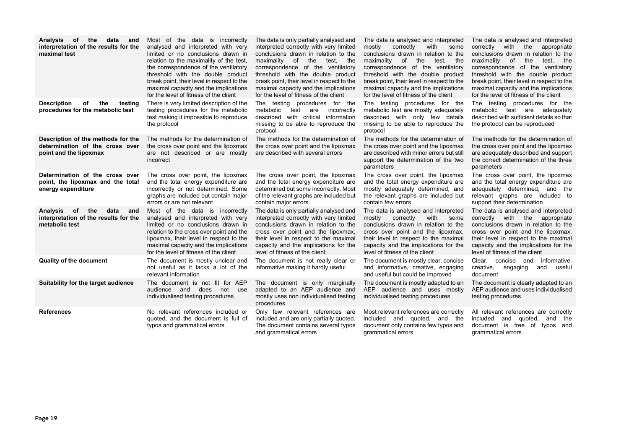| <b>Analysis</b><br>the<br>data<br>оf<br>and<br>interpretation of the results for the<br>maximal test | Most of the data is incorrectly<br>analysed and interpreted with very<br>limited or no conclusions drawn in<br>relation to the maximality of the test,<br>the correspondence of the ventilatory<br>threshold with the double product<br>break point, their level in respect to the<br>maximal capacity and the implications<br>for the level of fitness of the client | The data is only partially analysed and<br>interpreted correctly with very limited<br>conclusions drawn in relation to the<br>maximality of the<br>test.<br>the<br>correspondence of the ventilatory<br>threshold with the double product<br>break point, their level in respect to the<br>maximal capacity and the implications<br>for the level of fitness of the client | The data is analysed and interpreted<br>correctly with<br>mostly<br>some<br>conclusions drawn in relation to the<br>maximality of the<br>test.<br>the<br>correspondence of the ventilatory<br>threshold with the double product<br>break point, their level in respect to the<br>maximal capacity and the implications<br>for the level of fitness of the client | The data is analysed and interpreted<br>correctly with the appropriate<br>conclusions drawn in relation to the<br>maximality of<br>the<br>test. the<br>correspondence of the ventilatory<br>threshold with the double product<br>break point, their level in respect to the<br>maximal capacity and the implications<br>for the level of fitness of the client |
|------------------------------------------------------------------------------------------------------|-----------------------------------------------------------------------------------------------------------------------------------------------------------------------------------------------------------------------------------------------------------------------------------------------------------------------------------------------------------------------|----------------------------------------------------------------------------------------------------------------------------------------------------------------------------------------------------------------------------------------------------------------------------------------------------------------------------------------------------------------------------|------------------------------------------------------------------------------------------------------------------------------------------------------------------------------------------------------------------------------------------------------------------------------------------------------------------------------------------------------------------|----------------------------------------------------------------------------------------------------------------------------------------------------------------------------------------------------------------------------------------------------------------------------------------------------------------------------------------------------------------|
| <b>Description</b><br>of<br>the<br>testing<br>procedures for the metabolic test                      | There is very limited description of the<br>testing procedures for the metabolic<br>test making it impossible to reproduce<br>the protocol                                                                                                                                                                                                                            | The testing procedures for the<br>metabolic<br>test are<br>incorrectly<br>described with critical information<br>missing to be able to reproduce the<br>protocol                                                                                                                                                                                                           | The testing procedures for the<br>metabolic test are mostly adequately<br>described with only few details<br>missing to be able to reproduce the<br>protocol                                                                                                                                                                                                     | The testing procedures for the<br>metabolic test are adequately<br>described with sufficient details so that<br>the protocol can be reproduced                                                                                                                                                                                                                 |
| Description of the methods for the<br>determination of the cross over<br>point and the lipoxmax      | The methods for the determination of<br>the cross over point and the lipoxmax<br>are not described or are mostly<br>incorrect                                                                                                                                                                                                                                         | The methods for the determination of<br>the cross over point and the lipoxmax<br>are described with several errors                                                                                                                                                                                                                                                         | The methods for the determination of<br>the cross over point and the lipoxmax<br>are described with minor errors but still<br>support the determination of the two<br>parameters                                                                                                                                                                                 | The methods for the determination of<br>the cross over point and the lipoxmax<br>are adequately described and support<br>the correct determination of the three<br>parameters                                                                                                                                                                                  |
| Determination of the cross over<br>point, the lipoxmax and the total<br>energy expenditure           | The cross over point, the lipoxmax<br>and the total energy expenditure are<br>incorrectly or not determined. Some<br>graphs are included but contain major<br>errors or are not relevant                                                                                                                                                                              | The cross over point, the lipoxmax<br>and the total energy expenditure are<br>determined but some incorrectly. Most<br>of the relevant graphs are included but<br>contain major errors                                                                                                                                                                                     | The cross over point, the lipoxmax<br>and the total energy expenditure are<br>mostly adequately determined, and<br>the relevant graphs are included but<br>contain few errors                                                                                                                                                                                    | The cross over point, the lipoxmax<br>and the total energy expenditure are<br>adequately determined, and the<br>relevant graphs are included to<br>support their determination                                                                                                                                                                                 |
| Analysis<br>of<br>the<br>data<br>and<br>interpretation of the results for the<br>metabolic test      | Most of the data is incorrectly<br>analysed and interpreted with very<br>limited or no conclusions drawn in<br>relation to the cross over point and the<br>lipoxmax, their level in respect to the<br>maximal capacity and the implications<br>for the level of fitness of the client                                                                                 | The data is only partially analysed and<br>interpreted correctly with very limited<br>conclusions drawn in relation to the<br>cross over point and the lipoxmax,<br>their level in respect to the maximal<br>capacity and the implications for the<br>level of fitness of the client                                                                                       | The data is analysed and interpreted<br>mostly<br>correctly<br>with<br>some<br>conclusions drawn in relation to the<br>cross over point and the lipoxmax,<br>their level in respect to the maximal<br>capacity and the implications for the<br>level of fitness of the client                                                                                    | The data is analysed and interpreted<br>correctly with the appropriate<br>conclusions drawn in relation to the<br>cross over point and the lipoxmax,<br>their level in respect to the maximal<br>capacity and the implications for the<br>level of fitness of the client                                                                                       |
| <b>Quality of the document</b>                                                                       | The document is mostly unclear and<br>not useful as it lacks a lot of the<br>relevant information                                                                                                                                                                                                                                                                     | The document is not really clear or<br>informative making it hardly useful                                                                                                                                                                                                                                                                                                 | The document is mostly clear, concise<br>and informative, creative, engaging<br>and useful but could be improved                                                                                                                                                                                                                                                 | Clear, concise and<br>informative.<br>creative,<br>engaging<br>and<br>useful<br>document                                                                                                                                                                                                                                                                       |
| Suitability for the target audience                                                                  | The document is not fit for AEP<br>audience and does<br>not use<br>individualised testing procedures                                                                                                                                                                                                                                                                  | The document is only marginally<br>adapted to an AEP audience and<br>mostly uses non individualised testing<br>procedures                                                                                                                                                                                                                                                  | The document is mostly adapted to an<br>AEP audience and uses mostly<br>individualised testing procedures                                                                                                                                                                                                                                                        | The document is clearly adapted to an<br>AEP audience and uses individualised<br>testing procedures                                                                                                                                                                                                                                                            |
| <b>References</b>                                                                                    | No relevant references included or<br>quoted, and the document is full of<br>typos and grammatical errors                                                                                                                                                                                                                                                             | Only few relevant references are<br>included and are only partially quoted.<br>The document contains several typos<br>and grammatical errors                                                                                                                                                                                                                               | Most relevant references are correctly<br>included and quoted, and the<br>document only contains few typos and<br>grammatical errors                                                                                                                                                                                                                             | All relevant references are correctly<br>included and quoted,<br>and<br>the<br>document is free of typos and<br>grammatical errors                                                                                                                                                                                                                             |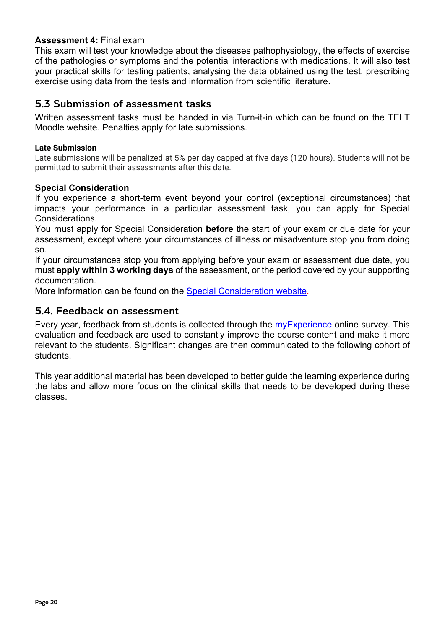#### **Assessment 4:** Final exam

This exam will test your knowledge about the diseases pathophysiology, the effects of exercise of the pathologies or symptoms and the potential interactions with medications. It will also test your practical skills for testing patients, analysing the data obtained using the test, prescribing exercise using data from the tests and information from scientific literature.

#### <span id="page-19-0"></span>5.3 Submission of assessment tasks

Written assessment tasks must be handed in via Turn-it-in which can be found on the TELT Moodle website. Penalties apply for late submissions.

#### **Late Submission**

Late submissions will be penalized at 5% per day capped at five days (120 hours). Students will not be permitted to submit their assessments after this date.

#### **Special Consideration**

If you experience a short-term event beyond your control (exceptional circumstances) that impacts your performance in a particular assessment task, you can apply for Special Considerations.

You must apply for Special Consideration **before** the start of your exam or due date for your assessment, except where your circumstances of illness or misadventure stop you from doing so.

If your circumstances stop you from applying before your exam or assessment due date, you must **apply within 3 working days** of the assessment, or the period covered by your supporting documentation.

More information can be found on the [Special Consideration website.](https://www.student.unsw.edu.au/special-consideration)

#### <span id="page-19-1"></span>5.4. Feedback on assessment

Every year, feedback from students is collected through the [myExperience](https://student.unsw.edu.au/myexperience) online survey. This evaluation and feedback are used to constantly improve the course content and make it more relevant to the students. Significant changes are then communicated to the following cohort of students.

This year additional material has been developed to better guide the learning experience during the labs and allow more focus on the clinical skills that needs to be developed during these classes.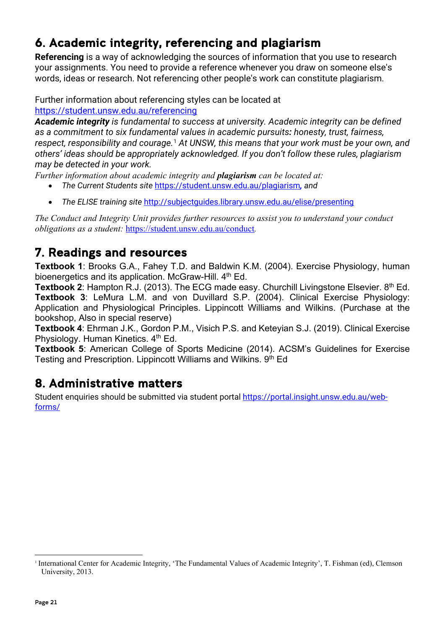# <span id="page-20-0"></span>6. Academic integrity, referencing and plagiarism

**Referencing** is a way of acknowledging the sources of information that you use to research your assignments. You need to provide a reference whenever you draw on someone else's words, ideas or research. Not referencing other people's work can constitute plagiarism.

Further information about referencing styles can be located at <https://student.unsw.edu.au/referencing>

*Academic integrity is fundamental to success at university. Academic integrity can be defined as a commitment to six fundamental values in academic pursuits: honesty, trust, fairness, respect, responsibility and courage.*[1](#page-20-3) *At UNSW, this means that your work must be your own, and others' ideas should be appropriately acknowledged. If you don't follow these rules, plagiarism may be detected in your work.* 

*Further information about academic integrity and plagiarism can be located at:*

- *The Current Students site* <https://student.unsw.edu.au/plagiarism>*, and*
- *The ELISE training site* <http://subjectguides.library.unsw.edu.au/elise/presenting>

*The Conduct and Integrity Unit provides further resources to assist you to understand your conduct obligations as a student:* <https://student.unsw.edu.au/conduct>*.*

# <span id="page-20-1"></span>7. Readings and resources

**Textbook 1**: Brooks G.A., Fahey T.D. and Baldwin K.M. (2004). Exercise Physiology, human bioenergetics and its application. McGraw-Hill. 4<sup>th</sup> Ed.

**Textbook 2:** Hampton R.J. (2013). The ECG made easy. Churchill Livingstone Elsevier. 8<sup>th</sup> Ed. **Textbook 3**: LeMura L.M. and von Duvillard S.P. (2004). Clinical Exercise Physiology: Application and Physiological Principles. Lippincott Williams and Wilkins. (Purchase at the bookshop, Also in special reserve)

**Textbook 4**: Ehrman J.K., Gordon P.M., Visich P.S. and Keteyian S.J. (2019). Clinical Exercise Physiology. Human Kinetics. 4<sup>th</sup> Ed.

**Textbook 5**: American College of Sports Medicine (2014). ACSM's Guidelines for Exercise Testing and Prescription. Lippincott Williams and Wilkins. 9<sup>th</sup> Ed

# <span id="page-20-2"></span>8. Administrative matters

Student enquiries should be submitted via student portal [https://portal.insight.unsw.edu.au/web](https://portal.insight.unsw.edu.au/web-forms/)[forms/](https://portal.insight.unsw.edu.au/web-forms/)

<span id="page-20-3"></span><sup>1</sup> International Center for Academic Integrity, 'The Fundamental Values of Academic Integrity', T. Fishman (ed), Clemson University, 2013.